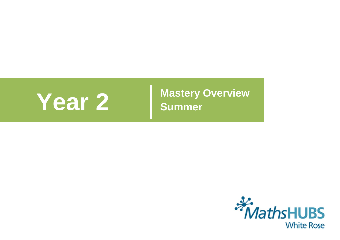

**Year 2 Mastery Overview Summer** 

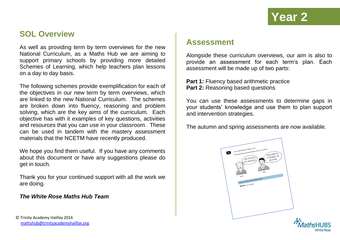### **SOL Overview**

As well as providing term by term overviews for the new National Curriculum, as a Maths Hub we are aiming to support primary schools by providing more detailed Schemes of Learning, which help teachers plan lessons on a day to day basis.

The following schemes provide exemplification for each of the objectives in our new term by term overviews, which are linked to the new National Curriculum. The schemes are broken down into fluency, reasoning and problem solving, which are the key aims of the curriculum. Each objective has with it examples of key questions, activities and resources that you can use in your classroom. These can be used in tandem with the mastery assessment materials that the NCETM have recently produced.

We hope you find them useful. If you have any comments about this document or have any suggestions please do get in touch.

Thank you for your continued support with all the work we are doing.

#### *The White Rose Maths Hub Team*

© Trinity Academy Halifax 2016 [mathshub@trinityacademyhalifax.org](mailto:mathshub@trinitYACADEMYHALIFAX.ORG)

### **Assessment**

Alongside these curriculum overviews, our aim is also to provide an assessment for each term's plan. Each assessment will be made up of two parts:

**Part 1:** Fluency based arithmetic practice **Part 2: Reasoning based questions** 

You can use these assessments to determine gaps in your students' knowledge and use them to plan support and intervention strategies.

The autumn and spring assessments are now available.

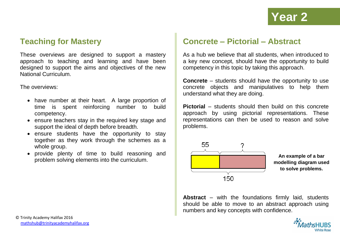## **Teaching for Mastery**

These overviews are designed to support a mastery approach to teaching and learning and have been designed to support the aims and objectives of the new National Curriculum.

The overviews:

- have number at their heart. A large proportion of time is spent reinforcing number to build competency.
- ensure teachers stay in the required key stage and support the ideal of depth before breadth.
- ensure students have the opportunity to stay together as they work through the schemes as a whole group.
- provide plenty of time to build reasoning and problem solving elements into the curriculum.

### **Concrete – Pictorial – Abstract**

As a hub we believe that all students, when introduced to a key new concept, should have the opportunity to build competency in this topic by taking this approach.

**Concrete** – students should have the opportunity to use concrete objects and manipulatives to help them understand what they are doing.

**Pictorial** – students should then build on this concrete approach by using pictorial representations. These representations can then be used to reason and solve problems.



**An example of a bar modelling diagram used to solve problems.**

**Abstract** – with the foundations firmly laid, students should be able to move to an abstract approach using numbers and key concepts with confidence.

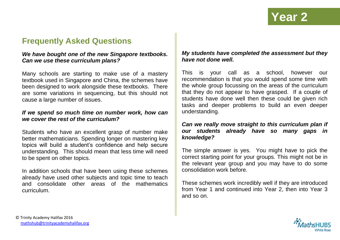## **Frequently Asked Questions**

### *We have bought one of the new Singapore textbooks. Can we use these curriculum plans?*

Many schools are starting to make use of a mastery textbook used in Singapore and China, the schemes have been designed to work alongside these textbooks. There are some variations in sequencing, but this should not cause a large number of issues.

#### *If we spend so much time on number work, how can we cover the rest of the curriculum?*

Students who have an excellent grasp of number make better mathematicians. Spending longer on mastering key topics will build a student's confidence and help secure understanding. This should mean that less time will need to be spent on other topics.

In addition schools that have been using these schemes already have used other subjects and topic time to teach and consolidate other areas of the mathematics curriculum.

### *My students have completed the assessment but they have not done well.*

This is your call as a school, however our recommendation is that you would spend some time with the whole group focussing on the areas of the curriculum that they do not appear to have grasped. If a couple of students have done well then these could be given rich tasks and deeper problems to build an even deeper understanding.

### *Can we really move straight to this curriculum plan if our students already have so many gaps in knowledge?*

The simple answer is yes. You might have to pick the correct starting point for your groups. This might not be in the relevant year group and you may have to do some consolidation work before.

These schemes work incredibly well if they are introduced from Year 1 and continued into Year 2, then into Year 3 and so on.

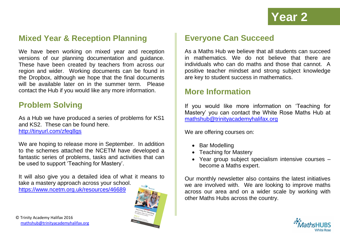## **Mixed Year & Reception Planning**

We have been working on mixed year and reception versions of our planning documentation and guidance. These have been created by teachers from across our region and wider. Working documents can be found in the Dropbox, although we hope that the final documents will be available later on in the summer term. Please contact the Hub if you would like any more information.

## **Problem Solving**

As a Hub we have produced a series of problems for KS1 and KS2. These can be found here.

<http://tinyurl.com/zfeq8gs>

We are hoping to release more in September. In addition to the schemes attached the NCETM have developed a fantastic series of problems, tasks and activities that can be used to support 'Teaching for Mastery'.

It will also give you a detailed idea of what it means to take a mastery approach across your school.

<https://www.ncetm.org.uk/resources/46689>



## **Everyone Can Succeed**

As a Maths Hub we believe that all students can succeed in mathematics. We do not believe that there are individuals who can do maths and those that cannot. A positive teacher mindset and strong subject knowledge are key to student success in mathematics.

### **More Information**

If you would like more information on 'Teaching for Mastery' you can contact the White Rose Maths Hub at [mathshub@trinityacademyhalifax.org](mailto:mathshub@trinityacademyhalifax.org)

We are offering courses on:

- Bar Modelling
- Teaching for Mastery
- Year group subject specialism intensive courses become a Maths expert.

Our monthly newsletter also contains the latest initiatives we are involved with. We are looking to improve maths across our area and on a wider scale by working with other Maths Hubs across the country.

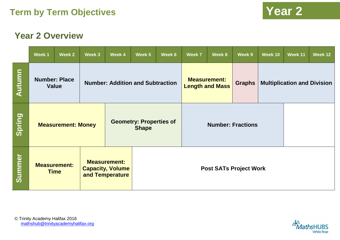# **Year 2 Overview**

|        | Week 1                                                                                                  | Week 2 | Week 3 | Week 4                                  | Week 5       | Week 6                                                     | Week 7                        | Week 8                                        | Week 9        | Week 10                            | Week 11 | Week 12 |
|--------|---------------------------------------------------------------------------------------------------------|--------|--------|-----------------------------------------|--------------|------------------------------------------------------------|-------------------------------|-----------------------------------------------|---------------|------------------------------------|---------|---------|
| Autumn | <b>Number: Place</b><br>Value                                                                           |        |        | <b>Number: Addition and Subtraction</b> |              |                                                            |                               | <b>Measurement:</b><br><b>Length and Mass</b> | <b>Graphs</b> | <b>Multiplication and Division</b> |         |         |
| Spring | <b>Measurement: Money</b>                                                                               |        |        |                                         | <b>Shape</b> | <b>Geometry: Properties of</b><br><b>Number: Fractions</b> |                               |                                               |               |                                    |         |         |
| Summer | <b>Measurement:</b><br><b>Measurement:</b><br><b>Capacity, Volume</b><br><b>Time</b><br>and Temperature |        |        |                                         |              |                                                            | <b>Post SATs Project Work</b> |                                               |               |                                    |         |         |

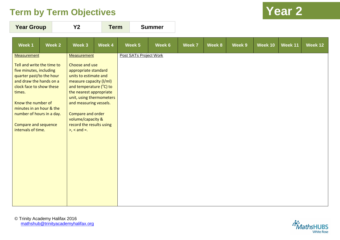| <b>Year Group</b> |  |        | Y2     | <b>Term</b> | <b>Summer</b> |        |        |  |
|-------------------|--|--------|--------|-------------|---------------|--------|--------|--|
| Week 1            |  | Week 2 | Week 3 |             | Week 4        | Week 5 | Week 6 |  |

| Week 1                                                                         | Week 2 | Week 3                                                                         | Week 4 | Week 5                 | Week 6 | Week 7 | Week 8 | Week 9 | Week 10 | Week 11 | Week 12 |
|--------------------------------------------------------------------------------|--------|--------------------------------------------------------------------------------|--------|------------------------|--------|--------|--------|--------|---------|---------|---------|
| <b>Measurement</b><br>Tell and write the time to                               |        | <b>Measurement</b><br>Choose and use                                           |        | Post SATs Project Work |        |        |        |        |         |         |         |
| five minutes, including<br>quarter past/to the hour<br>and draw the hands on a |        | appropriate standard<br>units to estimate and<br>measure capacity (I/ml)       |        |                        |        |        |        |        |         |         |         |
| clock face to show these<br>times.                                             |        | and temperature (°C) to<br>the nearest appropriate<br>unit, using thermometers |        |                        |        |        |        |        |         |         |         |
| Know the number of<br>minutes in an hour & the                                 |        | and measuring vessels.                                                         |        |                        |        |        |        |        |         |         |         |
| number of hours in a day.                                                      |        | Compare and order<br>volume/capacity &                                         |        |                        |        |        |        |        |         |         |         |
| <b>Compare and sequence</b><br>intervals of time.                              |        | record the results using<br>$>$ , $<$ and $=$ .                                |        |                        |        |        |        |        |         |         |         |
|                                                                                |        |                                                                                |        |                        |        |        |        |        |         |         |         |
|                                                                                |        |                                                                                |        |                        |        |        |        |        |         |         |         |
|                                                                                |        |                                                                                |        |                        |        |        |        |        |         |         |         |
|                                                                                |        |                                                                                |        |                        |        |        |        |        |         |         |         |
|                                                                                |        |                                                                                |        |                        |        |        |        |        |         |         |         |
|                                                                                |        |                                                                                |        |                        |        |        |        |        |         |         |         |

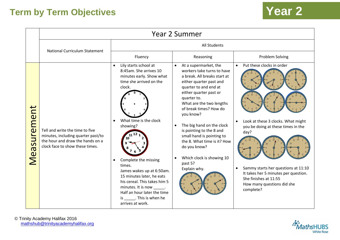|             | <b>Year 2 Summer</b>                                                                                                                         |                                                                                                                                                                                                                                                                                                                                                                                                                              |                                                                                                                                                                                                                                                                                                                                                                                                                                                                            |                                                                                                                                                                                                                                                                                                         |  |  |  |  |  |  |
|-------------|----------------------------------------------------------------------------------------------------------------------------------------------|------------------------------------------------------------------------------------------------------------------------------------------------------------------------------------------------------------------------------------------------------------------------------------------------------------------------------------------------------------------------------------------------------------------------------|----------------------------------------------------------------------------------------------------------------------------------------------------------------------------------------------------------------------------------------------------------------------------------------------------------------------------------------------------------------------------------------------------------------------------------------------------------------------------|---------------------------------------------------------------------------------------------------------------------------------------------------------------------------------------------------------------------------------------------------------------------------------------------------------|--|--|--|--|--|--|
|             | <b>National Curriculum Statement</b>                                                                                                         | All Students                                                                                                                                                                                                                                                                                                                                                                                                                 |                                                                                                                                                                                                                                                                                                                                                                                                                                                                            |                                                                                                                                                                                                                                                                                                         |  |  |  |  |  |  |
|             |                                                                                                                                              | Fluency                                                                                                                                                                                                                                                                                                                                                                                                                      | Reasoning                                                                                                                                                                                                                                                                                                                                                                                                                                                                  | Problem Solving                                                                                                                                                                                                                                                                                         |  |  |  |  |  |  |
| Measurement | Tell and write the time to five<br>minutes, including quarter past/to<br>the hour and draw the hands on a<br>clock face to show these times. | Lily starts school at<br>$\bullet$<br>8:45am. She arrives 10<br>minutes early. Show what<br>time she arrived on the<br>clock.<br>What time is the clock<br>showing?<br>Complete the missing<br>$\bullet$<br>times.<br>James wakes up at 6:50am.<br>15 minutes later, he eats<br>his cereal. This takes him 5<br>minutes. It is now ______.<br>Half an hour later the time<br>is _______. This is when he<br>arrives at work. | At a supermarket, the<br>$\bullet$<br>workers take turns to have<br>a break. All breaks start at<br>either quarter past and<br>quarter to and end at<br>either quarter past or<br>quarter to.<br>What are the two lengths<br>of break times? How do<br>you know?<br>The big hand on the clock<br>$\bullet$<br>is pointing to the 8 and<br>small hand is pointing to<br>the 8. What time is it? How<br>do you know?<br>Which clock is showing 10<br>past 5?<br>Explain why. | Put these clocks in order<br>$\bullet$<br>Look at these 3 clocks. What might<br>$\bullet$<br>you be doing at these times in the<br>day?<br>Sammy starts her questions at 11:10<br>$\bullet$<br>It takes her 5 minutes per question.<br>She finishes at 11:55<br>How many questions did she<br>complete? |  |  |  |  |  |  |



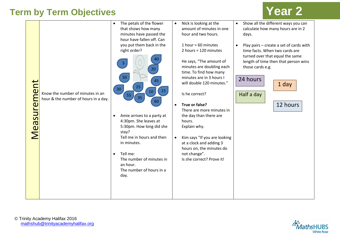| Measurement | Know the number of minutes in an<br>hour & the number of hours in a day. | The petals of the flower<br>$\bullet$<br>that shows how many<br>minutes have passed the<br>hour have fallen off. Can<br>you put them back in the<br>right order?<br>40<br>-5.<br>20<br>50<br>45<br>25<br>30<br>15<br>10<br>55<br>35<br>60<br>Amie arrives to a party at<br>4:30pm. She leaves at<br>5:30pm. How long did she<br>stay?<br>Tell me in hours and then<br>in minutes.<br>Tell me:<br>$\bullet$<br>The number of minutes in<br>an hour.<br>The number of hours in a<br>day. | $\bullet$ | Nick is looking at the<br>amount of minutes in one<br>hour and two hours.<br>1 hour = $60$ minutes<br>2 hours = $120$ minutes<br>He says, "The amount of<br>minutes are doubling each<br>time. To find how many<br>minutes are in 3 hours I<br>will double 120 minutes."<br>Is he correct?<br>True or false?<br>There are more minutes in<br>the day than there are<br>hours.<br>Explain why.<br>Kim says "If you are looking<br>at a clock and adding 3<br>hours on, the minutes do<br>not change".<br>Is she correct? Prove it! | Show all the different ways you can<br>$\bullet$<br>calculate how many hours are in 2<br>days.<br>Play pairs - create a set of cards with<br>time facts. When two cards are<br>turned over that equal the same<br>length of time then that person wins<br>those cards e.g.<br>24 hours<br>1 day<br>Half a day<br>12 hours |
|-------------|--------------------------------------------------------------------------|----------------------------------------------------------------------------------------------------------------------------------------------------------------------------------------------------------------------------------------------------------------------------------------------------------------------------------------------------------------------------------------------------------------------------------------------------------------------------------------|-----------|-----------------------------------------------------------------------------------------------------------------------------------------------------------------------------------------------------------------------------------------------------------------------------------------------------------------------------------------------------------------------------------------------------------------------------------------------------------------------------------------------------------------------------------|---------------------------------------------------------------------------------------------------------------------------------------------------------------------------------------------------------------------------------------------------------------------------------------------------------------------------|
|             |                                                                          |                                                                                                                                                                                                                                                                                                                                                                                                                                                                                        |           |                                                                                                                                                                                                                                                                                                                                                                                                                                                                                                                                   |                                                                                                                                                                                                                                                                                                                           |

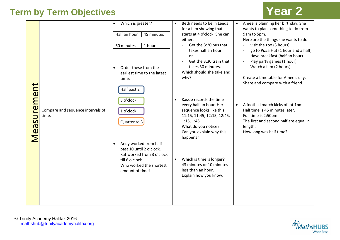

|             |                                            | Which is greater?<br>$\bullet$                                                                                                                  | Amee is planning her birthday. She<br>Beth needs to be in Leeds<br>$\bullet$<br>for a film showing that<br>wants to plan something to do from                                                                                                                                                                                                                                                                                      |
|-------------|--------------------------------------------|-------------------------------------------------------------------------------------------------------------------------------------------------|------------------------------------------------------------------------------------------------------------------------------------------------------------------------------------------------------------------------------------------------------------------------------------------------------------------------------------------------------------------------------------------------------------------------------------|
| Vleasuremen |                                            | Half an hour<br>45 minutes                                                                                                                      | starts at 4 o'clock. She can<br>9am to 5pm.<br>Here are the things she wants to do:<br>either:                                                                                                                                                                                                                                                                                                                                     |
|             |                                            | 60 minutes<br>1 hour<br>Order these from the<br>$\bullet$<br>earliest time to the latest<br>time:                                               | Get the 3:20 bus that<br>visit the zoo (3 hours)<br>go to Pizza Hut (1 hour and a half)<br>takes half an hour<br>Have breakfast (half an hour)<br>or<br>Play party games (1 hour)<br>Get the 3:30 train that<br>$\overline{\phantom{a}}$<br>takes 30 minutes.<br>Watch a film (2 hours)<br>$\overline{\phantom{a}}$<br>Which should she take and<br>Create a timetable for Amee's day.<br>why?<br>Share and compare with a friend. |
|             | Compare and sequence intervals of<br>time. | Half past 2<br>3 o'clock<br>1 o'clock<br>Quarter to 3                                                                                           | Kassie records the time<br>$\bullet$<br>every half an hour. Her<br>A football match kicks off at 1pm.<br>$\bullet$<br>Half time is 45 minutes later.<br>sequence looks like this<br>11:15, 11:45, 12:15, 12:45,<br>Full time is 2:50pm.<br>The first and second half are equal in<br>1:15, 1:45<br>What do you notice?<br>length.<br>Can you explain why this<br>How long was half time?<br>happens?                               |
|             |                                            | Andy worked from half<br>past 10 until 2 o'clock.<br>Kat worked from 3 o'clock<br>till 6 o'clock.<br>Who worked the shortest<br>amount of time? | Which is time is longer?<br>$\bullet$<br>43 minutes or 10 minutes<br>less than an hour.<br>Explain how you know.                                                                                                                                                                                                                                                                                                                   |
|             |                                            |                                                                                                                                                 |                                                                                                                                                                                                                                                                                                                                                                                                                                    |

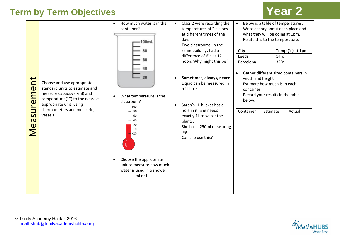| $\overline{\phantom{a}}$<br><b>D</b><br>urem<br>$\overline{S}$<br>Mea | Choose and use appropriate<br>standard units to estimate and<br>measure capacity (I/ml) and<br>temperature ( $^{\circ}$ C) to the nearest<br>appropriate unit, using<br>thermometers and measuring<br>vessels. | How much water is in the<br>$\bullet$<br>container?<br>100mL<br>80<br>What temperature is the<br>$\bullet$<br>classroom?<br>$\equiv$ 100<br>80<br>60<br>40<br>20<br>$\Omega$<br>$-20$<br>Choose the appropriate<br>$\bullet$<br>unit to measure how much<br>water is used in a shower.<br>ml or l | $\bullet$<br>$\bullet$<br>$\bullet$ | Class 2 were recording the<br>temperatures of 2 classes<br>at different times of the<br>day.<br>Two classrooms, in the<br>same building, had a<br>difference of 6°c at 12<br>noon. Why might this be?<br>Sometimes, always, never<br>Liquid can be measured in<br>millilitres.<br>Sarah's 1L bucket has a<br>hole in it. She needs<br>exactly 1L to water the<br>plants.<br>She has a 250ml measuring<br>jug.<br>Can she use this? | Below is a table of temperatures.<br>$\bullet$<br>what they will be doing at 1pm.<br>Relate this to the temperature.<br>City<br>Leeds<br>Barcelona<br>$\bullet$<br>width and height.<br>Estimate how much is in each<br>container.<br>Record your results in the table<br>below.<br>Container | Estimate | $14^{\circ}$ c<br>$32^{\circ}$ c | Write a story about each place and<br>Temp (°c) at 1pm<br>Gather different sized containers in<br>Actual |
|-----------------------------------------------------------------------|----------------------------------------------------------------------------------------------------------------------------------------------------------------------------------------------------------------|---------------------------------------------------------------------------------------------------------------------------------------------------------------------------------------------------------------------------------------------------------------------------------------------------|-------------------------------------|------------------------------------------------------------------------------------------------------------------------------------------------------------------------------------------------------------------------------------------------------------------------------------------------------------------------------------------------------------------------------------------------------------------------------------|-----------------------------------------------------------------------------------------------------------------------------------------------------------------------------------------------------------------------------------------------------------------------------------------------|----------|----------------------------------|----------------------------------------------------------------------------------------------------------|
|                                                                       |                                                                                                                                                                                                                |                                                                                                                                                                                                                                                                                                   |                                     |                                                                                                                                                                                                                                                                                                                                                                                                                                    |                                                                                                                                                                                                                                                                                               |          |                                  |                                                                                                          |